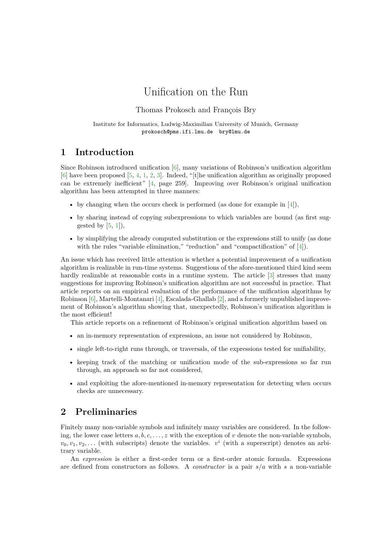# Unification on the Run

Thomas Prokosch and François Bry

Institute for Informatics, Ludwig-Maximilian University of Munich, Germany prokosch@pms.ifi.lmu.de bry@lmu.de

## **1 Introduction**

Since Robinson introduced unification  $[6]$ , many variations of Robinson's unification algorithm [\[6\]](#page-4-0) have been proposed [\[5,](#page-4-1) [4,](#page-4-2) [1,](#page-4-3) [2,](#page-4-4) [3\]](#page-4-5). Indeed, "[t]he unification algorithm as originally proposed can be extremely inefficient" [\[4,](#page-4-2) page 259]. Improving over Robinson's original unification algorithm has been attempted in three manners:

- by changing when the occurs check is performed (as done for example in  $[4]$ ),
- by sharing instead of copying subexpressions to which variables are bound (as first suggested by  $[5, 1]$  $[5, 1]$ ,
- by simplifying the already computed substitution or the expressions still to unify (as done with the rules "variable elimination," "reduction" and "compactification" of [\[4\]](#page-4-2)).

An issue which has received little attention is whether a potential improvement of a unification algorithm is realizable in run-time systems. Suggestions of the afore-mentioned third kind seem hardly realizable at reasonable costs in a runtime system. The article [\[3\]](#page-4-5) stresses that many suggestions for improving Robinson's unification algorithm are not successful in practice. That article reports on an empirical evaluation of the performance of the unification algorithms by Robinson [\[6\]](#page-4-0), Martelli-Montanari [\[4\]](#page-4-2), Escalada-Ghallab [\[2\]](#page-4-4), and a formerly unpublished improvement of Robinson's algorithm showing that, unexpectedly, Robinson's unification algorithm is the most efficient!

This article reports on a refinement of Robinson's original unification algorithm based on

- an in-memory representation of expressions, an issue not considered by Robinson,
- single left-to-right runs through, or traversals, of the expressions tested for unifiability,
- keeping track of the matching or unification mode of the sub-expressions so far run through, an approach so far not considered,
- and exploiting the afore-mentioned in-memory representation for detecting when occurs checks are unnecessary.

## **2 Preliminaries**

Finitely many non-variable symbols and infinitely many variables are considered. In the following, the lower case letters  $a, b, c, \ldots, z$  with the exception of v denote the non-variable symbols,  $v_0, v_1, v_2, \ldots$  (with subscripts) denote the variables.  $v^i$  (with a superscript) denotes an arbitrary variable.

An *expression* is either a first-order term or a first-order atomic formula. Expressions are defined from constructors as follows. A *constructor* is a pair s/a with s a non-variable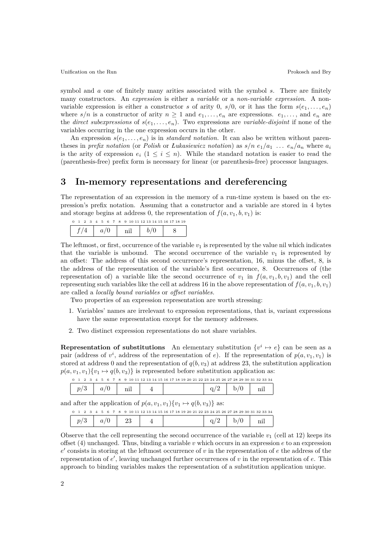symbol and a one of finitely many arities associated with the symbol s. There are finitely many constructors. An *expression* is either a *variable* or a *non-variable expression*. A nonvariable expression is either a constructor s of arity 0, s/0, or it has the form  $s(e_1, \ldots, e_n)$ where  $s/n$  is a constructor of arity  $n \geq 1$  and  $e_1, \ldots, e_n$  are expressions.  $e_1, \ldots,$  and  $e_n$  are the *direct subexpressions* of  $s(e_1, \ldots, e_n)$ . Two expressions are *variable-disjoint* if none of the variables occurring in the one expression occurs in the other.

An expression  $s(e_1, \ldots, e_n)$  is in *standard notation*. It can also be written without parentheses in *prefix notation* (or *Polish* or *Łukasiewicz notation*) as  $s/n e_1/a_1 \ldots e_n/a_n$  where  $a_i$ is the arity of expression  $e_i$   $(1 \leq i \leq n)$ . While the standard notation is easier to read the (parenthesis-free) prefix form is necessary for linear (or parenthesis-free) processor languages.

## **3 In-memory representations and dereferencing**

The representation of an expression in the memory of a run-time system is based on the expression's prefix notation. Assuming that a constructor and a variable are stored in 4 bytes and storage begins at address 0, the representation of  $f(a, v_1, b, v_1)$  is:

| $\cdot$<br>- 3- | $\overline{4}$ |  |  |  |  |  | 5 6 7 8 9 10 11 12 13 14 15 16 17 18 19 |
|-----------------|----------------|--|--|--|--|--|-----------------------------------------|
|                 |                |  |  |  |  |  |                                         |

The leftmost, or first, occurrence of the variable  $v_1$  is represented by the value nil which indicates that the variable is unbound. The second occurrence of the variable  $v_1$  is represented by an offset: The address of this second occurrence's representation, 16, minus the offset, 8, is the address of the representation of the variable's first occurrence, 8. Occurrences of (the representation of) a variable like the second occurrence of  $v_1$  in  $f(a, v_1, b, v_1)$  and the cell representing such variables like the cell at address 16 in the above representation of  $f(a, v_1, b, v_1)$ are called a *locally bound variables* or *offset variables.*

Two properties of an expression representation are worth stressing:

- 1. Variables' names are irrelevant to expression representations, that is, variant expressions have the same representation except for the memory addresses.
- 2. Two distinct expression representations do not share variables.

**Representation of substitutions** An elementary substitution  $\{v^i \mapsto e\}$  can be seen as a pair (address of  $v^i$ , address of the representation of e). If the representation of  $p(a, v_1, v_1)$  is stored at address 0 and the representation of  $q(b, v_3)$  at address 23, the substitution application  $p(a, v_1, v_1) \{v_1 \mapsto q(b, v_3)\}\$ is represented before substitution application as: 0 1 2 3 4 5 6 7 8 9 10 11 12 13 14 15 16 17 18 19 20 21 22 23 24 25 26 27 28 29 30 31 32 33 34

|  |  | 10 11 12 13 14 15 16 17 18 19 20 21 22 23 24 25 26 27 28 29 30 31 32 33 34 |  |  |
|--|--|----------------------------------------------------------------------------|--|--|
|  |  |                                                                            |  |  |

and after the application of  $p(a, v_1, v_1) \{v_1 \mapsto q(b, v_3)\}\)$  as:

|  |  |  |  |  |  |  |  |  |  |  |  |  |  |  |  | 0 1 2 3 4 5 6 7 8 9 10 11 12 13 14 15 16 17 18 19 20 21 22 23 24 25 26 27 28 29 30 31 32 33 34 |  |
|--|--|--|--|--|--|--|--|--|--|--|--|--|--|--|--|------------------------------------------------------------------------------------------------|--|
|  |  |  |  |  |  |  |  |  |  |  |  |  |  |  |  |                                                                                                |  |

Observe that the cell representing the second occurrence of the variable  $v_1$  (cell at 12) keeps its offset (4) unchanged. Thus, binding a variable v which occurs in an expression  $e$  to an expression  $e'$  consists in storing at the leftmost occurrence of v in the representation of e the address of the representation of  $e'$ , leaving unchanged further occurrences of  $v$  in the representation of  $e$ . This approach to binding variables makes the representation of a substitution application unique.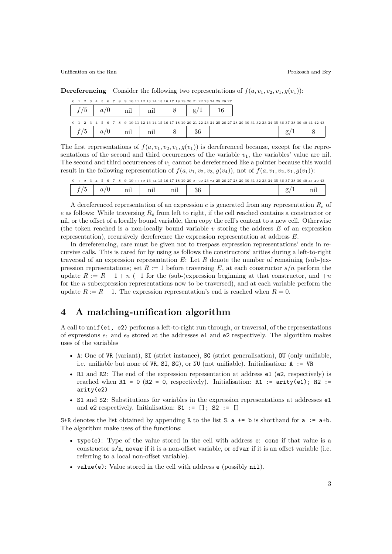Unification on the Run **Prokosch and Bry** Prokosch and Bry

**Dereferencing** Consider the following two representations of  $f(a, v_1, v_2, v_1, g(v_1))$ :

| 0 1 2 3 4 5 6 7 8 9 10 11 12 13 14 15 16 17 18 19 20 21 22 23 24 25 26 27 |              |     |     |           |                                                                                                                           |  |
|---------------------------------------------------------------------------|--------------|-----|-----|-----------|---------------------------------------------------------------------------------------------------------------------------|--|
|                                                                           | $a_{\prime}$ | nil | nil | $g_{\rm}$ |                                                                                                                           |  |
|                                                                           |              |     |     |           | 0 1 2 3 4 5 6 7 8 9 10 11 12 13 14 15 16 17 18 19 20 21 22 23 24 25 26 27 28 29 30 31 32 33 34 35 36 37 38 39 40 41 42 43 |  |
|                                                                           | $a_{\prime}$ | nil | nil | 36        |                                                                                                                           |  |

The first representations of  $f(a, v_1, v_2, v_1, g(v_1))$  is dereferenced because, except for the representations of the second and third occurrences of the variable  $v_1$ , the variables' value are nil. The second and third occurrences of  $v_1$  cannot be dereferenced like a pointer because this would result in the following representation of  $f(a, v_1, v_2, v_3, g(v_4))$ , not of  $f(a, v_1, v_2, v_1, g(v_1))$ :

|                  |   |              |  | 0 1 2 3 4 5 6 7 8 9 10 11 12 13 14 15 16 17 18 19 20 21 22 23 24 25 26 27 28 29 30 31 32 33 34 35 36 37 38 39 40 41 42 43 |  |
|------------------|---|--------------|--|---------------------------------------------------------------------------------------------------------------------------|--|
| $\boldsymbol{a}$ | m | $\mathbf{v}$ |  |                                                                                                                           |  |

A dereferenced representation of an expression e is generated from any representation  $R_e$  of e as follows: While traversing  $R_e$  from left to right, if the cell reached contains a constructor or nil, or the offset of a locally bound variable, then copy the cell's content to a new cell. Otherwise (the token reached is a non-locally bound variable v storing the address  $E$  of an expression representation), recursively dereference the expression representation at address E.

In dereferencing, care must be given not to trespass expression representations' ends in recursive calls. This is cared for by using as follows the constructors' arities during a left-to-right traversal of an expression representation  $E$ : Let R denote the number of remaining (sub-)expression representations; set  $R := 1$  before traversing E, at each constructor  $s/n$  perform the update  $R := R - 1 + n$  (-1 for the (sub-)expression beginning at that constructor, and  $+n$ for the n subexpression representations now to be traversed), and at each variable perform the update  $R := R - 1$ . The expression representation's end is reached when  $R = 0$ .

## **4 A matching-unification algorithm**

A call to unif(e1, e2) performs a left-to-right run through, or traversal, of the representations of expressions  $e_1$  and  $e_2$  stored at the addresses **e1** and **e2** respectively. The algorithm makes uses of the variables

- A: One of VR (variant), SI (strict instance), SG (strict generalisation), OU (only unifiable, i.e. unifiable but none of VR, SI, SG), or NU (not unifiable). Initialisation: A := VR
- R1 and R2: The end of the expression representation at address e1 (e2, respectively) is reached when  $R1 = 0$  ( $R2 = 0$ , respectively). Initialisation:  $R1 :=$  arity(e1);  $R2 :=$ arity(e2)
- S1 and S2: Substitutions for variables in the expression representations at addresses e1 and e2 respectively. Initialisation:  $S1 := []$ ;  $S2 := []$

S+R denotes the list obtained by appending R to the list S.  $a \leftarrow b$  is shorthand for  $a := a + b$ . The algorithm make uses of the functions:

- type(e): Type of the value stored in the cell with address e: cons if that value is a constructor s/n, novar if it is a non-offset variable, or ofvar if it is an offset variable (i.e. referring to a local non-offset variable).
- value(e): Value stored in the cell with address **e** (possibly nil).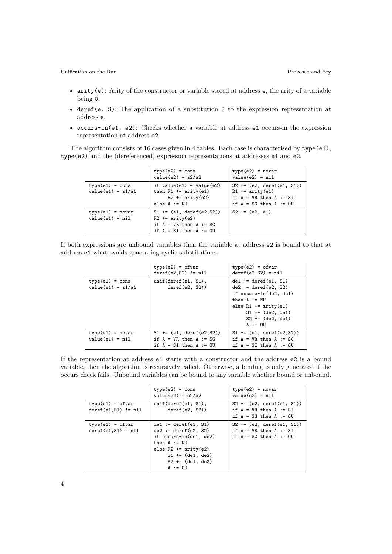Unification on the Run Prokosch and Bry

- arity(e): Arity of the constructor or variable stored at address e, the arity of a variable being 0.
- deref(e, S): The application of a substitution S to the expression representation at address e.
- occurs-in(e1, e2): Checks whether a variable at address e1 occurs-in the expression representation at address e2.

The algorithm consists of 16 cases given in 4 tables. Each case is characterised by type(e1), type(e2) and the (dereferenced) expression representations at addresses e1 and e2.

|                                          | $type(e2) = cons$<br>$value(e2) = s2/a2$                                                                     | $type(e2) = novar$<br>$value(e2) = nil$                                                                                                    |
|------------------------------------------|--------------------------------------------------------------------------------------------------------------|--------------------------------------------------------------------------------------------------------------------------------------------|
| $type(e1) = cons$<br>$value(e1) = s1/a1$ | if $value(e1) = value(e2)$<br>then $R1 == arity(e1)$<br>$R2$ += $arity(e2)$<br>else $A := NU$                | $S2 \leftarrow (\text{e2}, \text{ deref}(\text{e1}, S1))$<br>$R1$ += arity(e1)<br>if $A = VR$ then $A := SI$<br>if $A = SG$ then $A := OU$ |
| $type(e1) = novar$<br>$value(e1) = nil$  | $S1$ += (e1, deref(e2, S2))<br>$R2 == arity(e2)$<br>if $A = VR$ then $A := SG$<br>if $A = SI$ then $A := OU$ | $S2 += (e2, e1)$                                                                                                                           |

If both expressions are unbound variables then the variable at address e2 is bound to that at address e1 what avoids generating cyclic substitutions.

|                                          | $type(e2) = ofvar$<br>$deref(e2,S2)$ != nil                                             | $type(e2) = ofvar$<br>$deref(e2,S2) = nil$                                                                                                                                      |
|------------------------------------------|-----------------------------------------------------------------------------------------|---------------------------------------------------------------------------------------------------------------------------------------------------------------------------------|
| $type(e1) = cons$<br>$value(e1) = s1/a1$ | unif(deref(e1, S1),<br>deref(e2, S2)                                                    | $del := deref(e1, S1)$<br>$de2 := deref(e2, S2)$<br>if occurs-in(de2, de1)<br>then $A := NU$<br>else $R1$ += arity(e1)<br>$S1 += (de2, de1)$<br>$S2 += (de2, de1)$<br>$A := 0U$ |
| $type(e1) = novar$<br>$value(e1) = nil$  | $S1$ += (e1, deref(e2, S2))<br>if $A = VR$ then $A := SG$<br>if $A = SI$ then $A := OU$ | $S1$ += (e1, deref(e2, S2))<br>if $A = VR$ then $A := SG$<br>if $A = SI$ then $A := OU$                                                                                         |

If the representation at address e1 starts with a constructor and the address e2 is a bound variable, then the algorithm is recursively called. Otherwise, a binding is only generated if the occurs check fails. Unbound variables can be bound to any variable whether bound or unbound.

|                                              | $type(e2) = cons$<br>$value(e2) = s2/a2$                                                                                                                                        | $type(e2) = novar$<br>$value(e2) = nil$                                                 |
|----------------------------------------------|---------------------------------------------------------------------------------------------------------------------------------------------------------------------------------|-----------------------------------------------------------------------------------------|
| $type(e1) = ofvar$<br>$deref(e1, S1)$ != nil | unif(deref(el, S1),<br>deref(e2, S2)                                                                                                                                            | $S2 += (e2, deref(e1, S1))$<br>if $A = VR$ then $A := SI$<br>if $A = SG$ then $A := OU$ |
| $type(e1) = ofvar$<br>$deref(e1, S1) = nil$  | $de1 := deref(e1, S1)$<br>$de2 := deref(e2, S2)$<br>if occurs-in(de1, de2)<br>then $A := NU$<br>else $R2 ==$ arity(e2)<br>$S1 += (de1, de2)$<br>$S2 += (de1, de2)$<br>$A := 0U$ | $S2 += (e2, deref(e1, S1))$<br>if $A = VR$ then $A := SI$<br>if $A = SG$ then $A := OU$ |